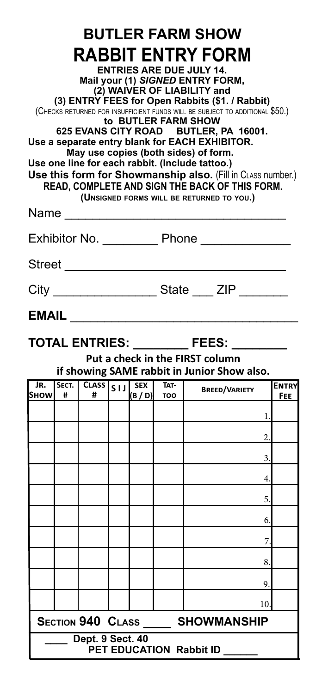| <b>BUTLER FARM SHOW</b><br>RABBIT ENTRY FORM<br><b>ENTRIES ARE DUE JULY 14.</b><br>Mail your (1) SIGNED ENTRY FORM,<br>(2) WAIVER OF LIABILITY and<br>(3) ENTRY FEES for Open Rabbits (\$1. / Rabbit)<br>(CHECKS RETURNED FOR INSUFFICIENT FUNDS WILL BE SUBJECT TO ADDITIONAL \$50.)<br>to BUTLER FARM SHOW<br>625 EVANS CITY ROAD BUTLER, PA 16001.<br>Use a separate entry blank for EACH EXHIBITOR.<br>May use copies (both sides) of form.<br>Use one line for each rabbit. (Include tattoo.)<br>Use this form for Showmanship also. (Fill in CLASS number.)<br>READ, COMPLETE AND SIGN THE BACK OF THIS FORM. |            |                   |        |                       |                    |                      |                     |
|---------------------------------------------------------------------------------------------------------------------------------------------------------------------------------------------------------------------------------------------------------------------------------------------------------------------------------------------------------------------------------------------------------------------------------------------------------------------------------------------------------------------------------------------------------------------------------------------------------------------|------------|-------------------|--------|-----------------------|--------------------|----------------------|---------------------|
| (UNSIGNED FORMS WILL BE RETURNED TO YOU.)<br>Name                                                                                                                                                                                                                                                                                                                                                                                                                                                                                                                                                                   |            |                   |        |                       |                    |                      |                     |
| Exhibitor No. ___________ Phone ______________                                                                                                                                                                                                                                                                                                                                                                                                                                                                                                                                                                      |            |                   |        |                       |                    |                      |                     |
|                                                                                                                                                                                                                                                                                                                                                                                                                                                                                                                                                                                                                     |            |                   |        |                       |                    |                      |                     |
| City ____________________State ____ ZIP ________                                                                                                                                                                                                                                                                                                                                                                                                                                                                                                                                                                    |            |                   |        |                       |                    |                      |                     |
| <b>EMAIL</b>                                                                                                                                                                                                                                                                                                                                                                                                                                                                                                                                                                                                        |            |                   |        |                       |                    |                      |                     |
| TOTAL ENTRIES: _________ FEES: ___<br>Put a check in the FIRST column<br>if showing SAME rabbit in Junior Show also.                                                                                                                                                                                                                                                                                                                                                                                                                                                                                                |            |                   |        |                       |                    |                      |                     |
| JR.<br><b>SHOW</b>                                                                                                                                                                                                                                                                                                                                                                                                                                                                                                                                                                                                  | SECT.<br># | <b>CLASS</b><br># | $s$ ıl | <b>SEX</b><br>(B / D) | TAT-<br><b>TOO</b> | <b>BREED/VARIETY</b> | <b>ENTRY</b><br>FEE |
|                                                                                                                                                                                                                                                                                                                                                                                                                                                                                                                                                                                                                     |            |                   |        |                       |                    | 1.                   |                     |
|                                                                                                                                                                                                                                                                                                                                                                                                                                                                                                                                                                                                                     |            |                   |        |                       |                    | 2.                   |                     |
|                                                                                                                                                                                                                                                                                                                                                                                                                                                                                                                                                                                                                     |            |                   |        |                       |                    | 3.                   |                     |
|                                                                                                                                                                                                                                                                                                                                                                                                                                                                                                                                                                                                                     |            |                   |        |                       |                    | 4.                   |                     |
|                                                                                                                                                                                                                                                                                                                                                                                                                                                                                                                                                                                                                     |            |                   |        |                       |                    | 5.                   |                     |
|                                                                                                                                                                                                                                                                                                                                                                                                                                                                                                                                                                                                                     |            |                   |        |                       |                    | 6.                   |                     |
|                                                                                                                                                                                                                                                                                                                                                                                                                                                                                                                                                                                                                     |            |                   |        |                       |                    | 7                    |                     |
|                                                                                                                                                                                                                                                                                                                                                                                                                                                                                                                                                                                                                     |            |                   |        |                       |                    | 8.                   |                     |
|                                                                                                                                                                                                                                                                                                                                                                                                                                                                                                                                                                                                                     |            |                   |        |                       |                    | 9.                   |                     |
|                                                                                                                                                                                                                                                                                                                                                                                                                                                                                                                                                                                                                     |            |                   |        |                       |                    | 10.                  |                     |
| <b>SECTION 940 CLASS</b><br><b>SHOWMANSHIP</b>                                                                                                                                                                                                                                                                                                                                                                                                                                                                                                                                                                      |            |                   |        |                       |                    |                      |                     |
| Dept. 9 Sect. 40<br>PET EDUCATION Rabbit ID                                                                                                                                                                                                                                                                                                                                                                                                                                                                                                                                                                         |            |                   |        |                       |                    |                      |                     |